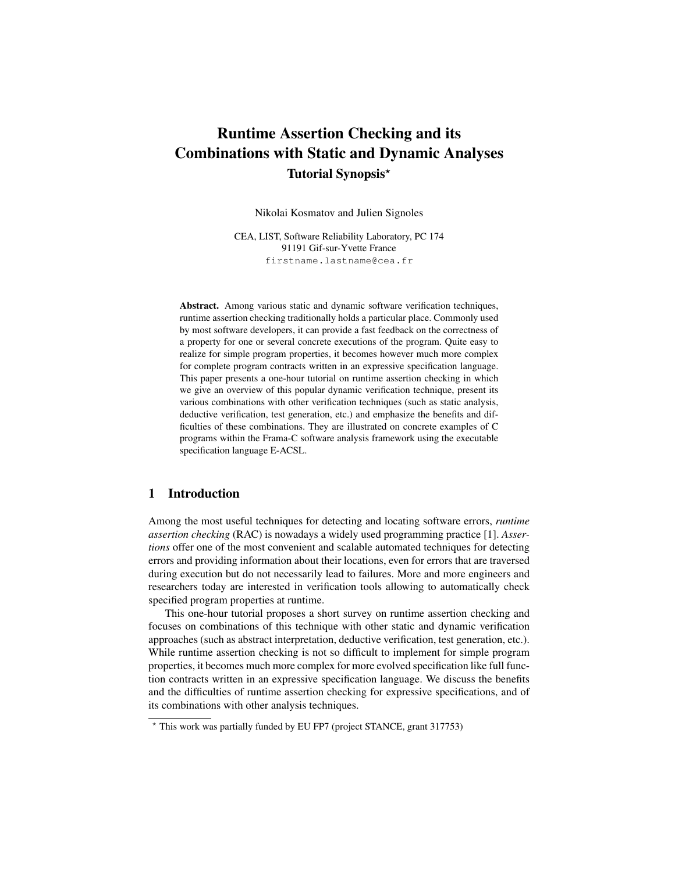# Runtime Assertion Checking and its Combinations with Static and Dynamic Analyses Tutorial Synopsis?

Nikolai Kosmatov and Julien Signoles

CEA, LIST, Software Reliability Laboratory, PC 174 91191 Gif-sur-Yvette France firstname.lastname@cea.fr

Abstract. Among various static and dynamic software verification techniques, runtime assertion checking traditionally holds a particular place. Commonly used by most software developers, it can provide a fast feedback on the correctness of a property for one or several concrete executions of the program. Quite easy to realize for simple program properties, it becomes however much more complex for complete program contracts written in an expressive specification language. This paper presents a one-hour tutorial on runtime assertion checking in which we give an overview of this popular dynamic verification technique, present its various combinations with other verification techniques (such as static analysis, deductive verification, test generation, etc.) and emphasize the benefits and difficulties of these combinations. They are illustrated on concrete examples of C programs within the Frama-C software analysis framework using the executable specification language E-ACSL.

### 1 Introduction

Among the most useful techniques for detecting and locating software errors, *runtime assertion checking* (RAC) is nowadays a widely used programming practice [1]. *Assertions* offer one of the most convenient and scalable automated techniques for detecting errors and providing information about their locations, even for errors that are traversed during execution but do not necessarily lead to failures. More and more engineers and researchers today are interested in verification tools allowing to automatically check specified program properties at runtime.

This one-hour tutorial proposes a short survey on runtime assertion checking and focuses on combinations of this technique with other static and dynamic verification approaches (such as abstract interpretation, deductive verification, test generation, etc.). While runtime assertion checking is not so difficult to implement for simple program properties, it becomes much more complex for more evolved specification like full function contracts written in an expressive specification language. We discuss the benefits and the difficulties of runtime assertion checking for expressive specifications, and of its combinations with other analysis techniques.

<sup>?</sup> This work was partially funded by EU FP7 (project STANCE, grant 317753)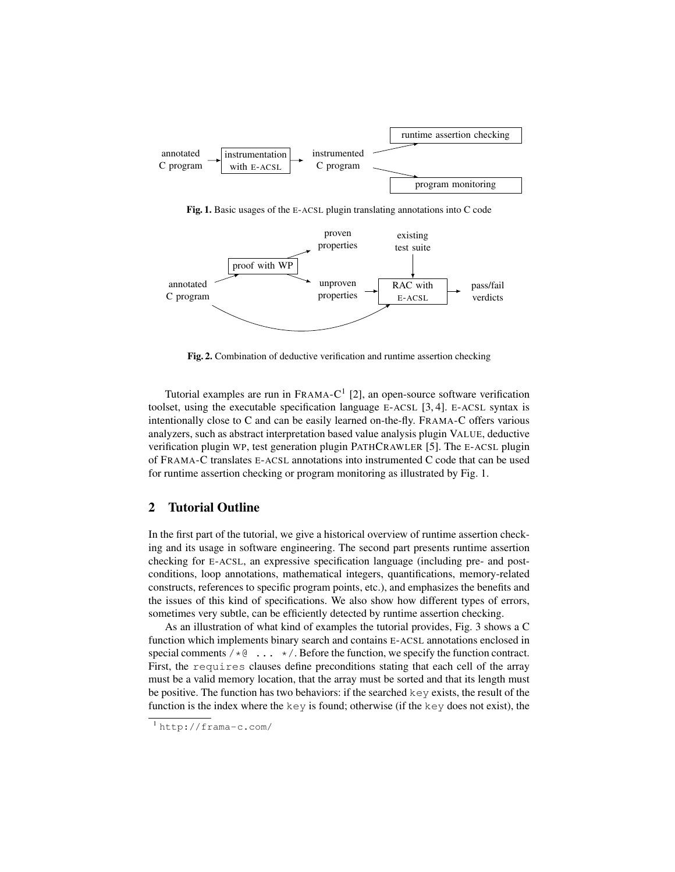

Fig. 1. Basic usages of the E-ACSL plugin translating annotations into C code



Fig. 2. Combination of deductive verification and runtime assertion checking

Tutorial examples are run in  $FRAMA-C<sup>1</sup>$  [2], an open-source software verification toolset, using the executable specification language E-ACSL  $[3, 4]$ . E-ACSL syntax is intentionally close to C and can be easily learned on-the-fly. FRAMA-C offers various analyzers, such as abstract interpretation based value analysis plugin VALUE, deductive verification plugin WP, test generation plugin PATHCRAWLER [5]. The E-ACSL plugin of FRAMA-C translates E-ACSL annotations into instrumented C code that can be used for runtime assertion checking or program monitoring as illustrated by Fig. 1.

# 2 Tutorial Outline

In the first part of the tutorial, we give a historical overview of runtime assertion checking and its usage in software engineering. The second part presents runtime assertion checking for E-ACSL, an expressive specification language (including pre- and postconditions, loop annotations, mathematical integers, quantifications, memory-related constructs, references to specific program points, etc.), and emphasizes the benefits and the issues of this kind of specifications. We also show how different types of errors, sometimes very subtle, can be efficiently detected by runtime assertion checking.

As an illustration of what kind of examples the tutorial provides, Fig. 3 shows a C function which implements binary search and contains E-ACSL annotations enclosed in special comments  $/\star \mathbb{Q}$  ...  $\star$  /. Before the function, we specify the function contract. First, the requires clauses define preconditions stating that each cell of the array must be a valid memory location, that the array must be sorted and that its length must be positive. The function has two behaviors: if the searched key exists, the result of the function is the index where the  $key$  is found; otherwise (if the  $key$  does not exist), the

<sup>1</sup> http://frama-c.com/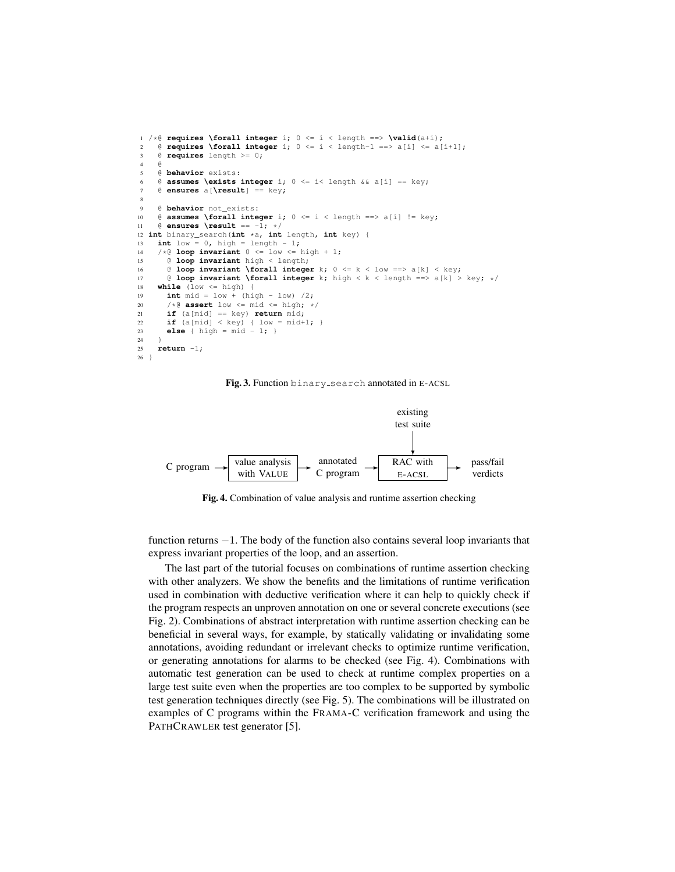```
1 /*\theta requires \forall integer i; 0 <= i < length ==> \valid(a+i); 0 = \theta requires \forall integer i: 0 <= i < length-1 ==> a[i] <= a[
      2 @ requires \forall integer i; 0 <= i < length-1 ==> a[i] <= a[i+1];
3 @ requires length >= 0;
4 @
5 @ behavior exists:
6 \theta assumes \exists integer i; 0 \le i \le \theta length && a[i] == key;
      7 @ ensures a[\result] == key;
\circ9 @ behavior not_exists:
10 \theta assumes \forall integer i: 0 \le i \le \theta length ==> a[i] != key:
11 @ ensures \result == -1; */
12 int binary_search(int *a, int length, int key) {<br>13 int low = 0, high = length - 1:
      int low = 0, high = length - 1;
14 /*@ loop invariant 0 \leq low \leq high + 1;<br>15 @ loop invariant high \leq length;
        15 @ loop invariant high < length;
16 e loop invariant \forall integer k; 0 \le k < 1 ow ==> a[k] < key;<br>17 e loop invariant \forall integer k; high < k < length ==> a[k] >
17 @ loop invariant \forall integer k; high < k < length ==> a[k] > key; */<br>18 while (low <= high) {
      while (low <= high)
19 int mid = low + (high - low) /2;
20 /*\theta assert low <= mid <= high; */<br>21 if (almid) == key) return mid:
        if (a[mid] == key) return mid;
22 if (a[mid] < key) { low = mid+1; }
23 else { high = mid - 1; }
^{24}25 return -1;
26 }
```
Fig. 3. Function binary search annotated in E-ACSL



Fig. 4. Combination of value analysis and runtime assertion checking

function returns −1. The body of the function also contains several loop invariants that express invariant properties of the loop, and an assertion.

The last part of the tutorial focuses on combinations of runtime assertion checking with other analyzers. We show the benefits and the limitations of runtime verification used in combination with deductive verification where it can help to quickly check if the program respects an unproven annotation on one or several concrete executions (see Fig. 2). Combinations of abstract interpretation with runtime assertion checking can be beneficial in several ways, for example, by statically validating or invalidating some annotations, avoiding redundant or irrelevant checks to optimize runtime verification, or generating annotations for alarms to be checked (see Fig. 4). Combinations with automatic test generation can be used to check at runtime complex properties on a large test suite even when the properties are too complex to be supported by symbolic test generation techniques directly (see Fig. 5). The combinations will be illustrated on examples of C programs within the FRAMA-C verification framework and using the PATHCRAWLER test generator [5].